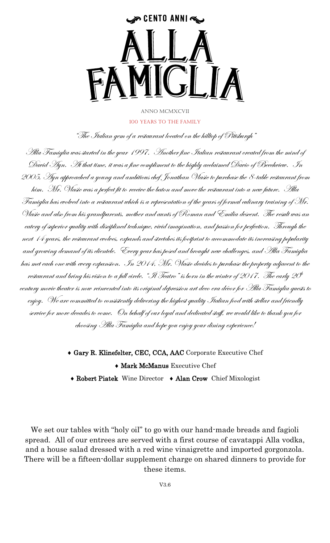## سیه CENTO ANNI همها

## Anno mcmxcvii 100 Years to the family

"The Italian gem of a restaurant located on the hilltop of Pittsburgh"

Alla Famiglia was started in the year 1997. Another fine Italian restaurant created from the mind of David Ayn. At that time, it was a fine compliment to the highly acclaimed Davio of Beechview. In 2005, Ayn approached a young and ambitious chef Jonathan Vlasic to purchase the 8-table restaurant from him. Mr. Vlasic was a perfect fit to receive the baton and move the restaurant into a new future. Alla Famiglia has evolved into a restaurant which is a representation of the years of formal culinary training of Mr. Vlasic and also from his grandparents, mother and aunts of Roman and Emilia descent. The result was an eatery of superior quality with disciplined technique, vivid imagination, and passion for perfection. Through the next 14 years, the restaurant evolves, expands and stretches its footprint to accommodate its increasing popularity and growing demand of its clientele. Every year has posed and brought new challenges, and Alla Famiglia has met each one with every expansion. In 2014, Mr. Vlasic decides to purchase the property adjacent to the restaurant and bring his vision to a full circle. "Il Teatro" is born in the winter of 2017. The early 20 $^{\rm th}$ century movie theater is now reinvented into its original depression art deco era décor for Alla Famiglia guests to enjoy. We are committed to consistently delivering the highest quality Italian food with stellar and friendly service for more decades to come. On behalf of our loyal and dedicated staff, we would like to thank you for choosing Alla Famiglia and hope you enjoy your dining experience!

> Gary R. Klinefelter, CEC, CCA, AAC Corporate Executive Chef **Mark McManus Executive Chef**

Robert Piatek Wine Director Alan Crow Chief Mixologist

We set our tables with "holy oil" to go with our hand-made breads and fagioli spread. All of our entrees are served with a first course of cavatappi Alla vodka, and a house salad dressed with a red wine vinaigrette and imported gorgonzola. There will be a fifteen-dollar supplement charge on shared dinners to provide for these items.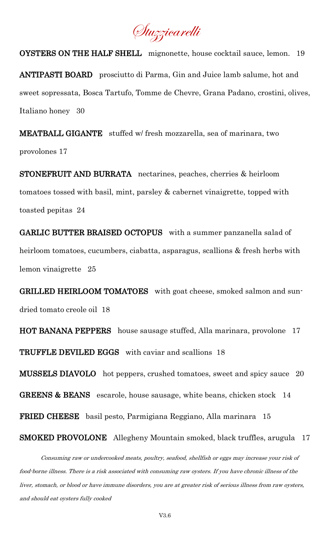Stuzzicarelli

OYSTERS ON THE HALF SHELL mignonette, house cocktail sauce, lemon. 19 ANTIPASTI BOARD prosciutto di Parma, Gin and Juice lamb salume, hot and sweet sopressata, Bosca Tartufo, Tomme de Chevre, Grana Padano, crostini, olives, Italiano honey 30

MEATBALL GIGANTE stuffed w/ fresh mozzarella, sea of marinara, two provolones 17

STONEFRUIT AND BURRATA nectarines, peaches, cherries & heirloom tomatoes tossed with basil, mint, parsley & cabernet vinaigrette, topped with toasted pepitas 24

GARLIC BUTTER BRAISED OCTOPUS with a summer panzanella salad of heirloom tomatoes, cucumbers, ciabatta, asparagus, scallions & fresh herbs with lemon vinaigrette 25

GRILLED HEIRLOOM TOMATOES with goat cheese, smoked salmon and sundried tomato creole oil 18

HOT BANANA PEPPERS house sausage stuffed, Alla marinara, provolone 17 TRUFFLE DEVILED EGGS with caviar and scallions 18

MUSSELS DIAVOLO hot peppers, crushed tomatoes, sweet and spicy sauce 20 GREENS & BEANS escarole, house sausage, white beans, chicken stock 14

FRIED CHEESE basil pesto, Parmigiana Reggiano, Alla marinara 15

## SMOKED PROVOLONE Allegheny Mountain smoked, black truffles, arugula 17

 Consuming raw or undercooked meats, poultry, seafood, shellfish or eggs may increase your risk of food-borne illness. There is a risk associated with consuming raw oysters. If you have chronic illness of the liver, stomach, or blood or have immune disorders, you are at greater risk of serious illness from raw oysters, and should eat oysters fully cooked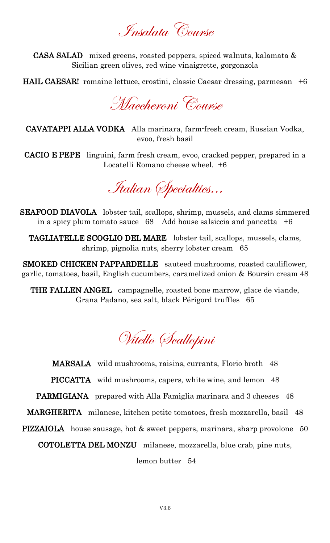Insalata Course

CASA SALAD mixed greens, roasted peppers, spiced walnuts, kalamata & Sicilian green olives, red wine vinaigrette, gorgonzola

HAIL CAESAR! romaine lettuce, crostini, classic Caesar dressing, parmesan +6

Maccheroni Course

CAVATAPPI ALLA VODKA Alla marinara, farm-fresh cream, Russian Vodka, evoo, fresh basil

CACIO E PEPE linguini, farm fresh cream, evoo, cracked pepper, prepared in a Locatelli Romano cheese wheel. +6

Italian Specialties…

SEAFOOD DIAVOLA lobster tail, scallops, shrimp, mussels, and clams simmered in a spicy plum tomato sauce  $68$  Add house salsiccia and pancetta  $+6$ 

TAGLIATELLE SCOGLIO DEL MARE lobster tail, scallops, mussels, clams, shrimp, pignolia nuts, sherry lobster cream 65

SMOKED CHICKEN PAPPARDELLE sauteed mushrooms, roasted cauliflower, garlic, tomatoes, basil, English cucumbers, caramelized onion & Boursin cream 48

THE FALLEN ANGEL campagnelle, roasted bone marrow, glace de viande, Grana Padano, sea salt, black Périgord truffles 65

Vitello Scallopini

MARSALA wild mushrooms, raisins, currants, Florio broth 48 PICCATTA wild mushrooms, capers, white wine, and lemon 48 PARMIGIANA prepared with Alla Famiglia marinara and 3 cheeses 48 MARGHERITA milanese, kitchen petite tomatoes, fresh mozzarella, basil 48 PIZZAIOLA house sausage, hot & sweet peppers, marinara, sharp provolone 50 COTOLETTA DEL MONZU milanese, mozzarella, blue crab, pine nuts, lemon butter 54